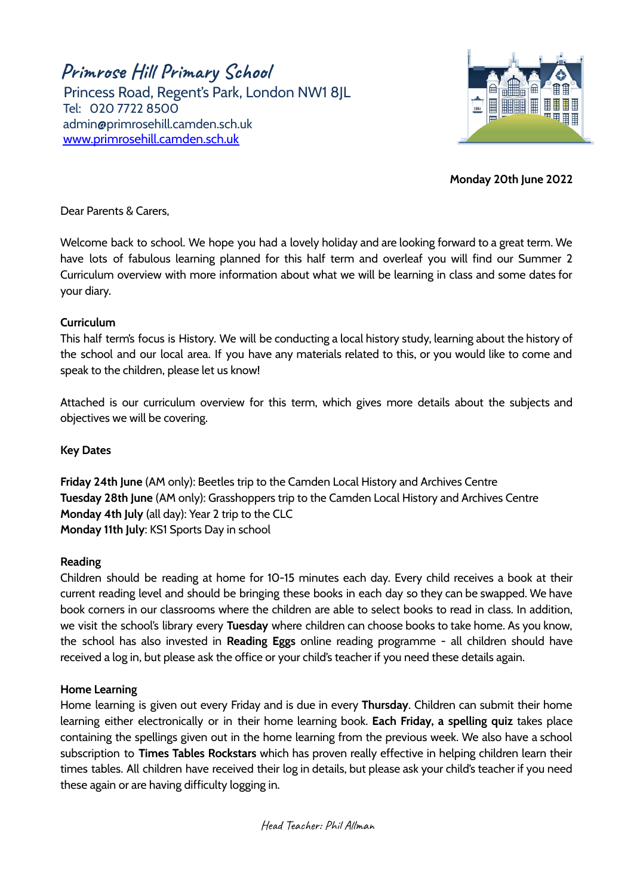**Primrose Hill Primary School**

Princess Road, Regent's Park, London NW1 8JL Tel: 020 7722 8500 [admin@primrosehill.camden.sch.uk](mailto:admin@primrosehill.camden.sch.uk) [www.primrosehill.camden.sch.uk](http://www.primrosehill.camden.sch.uk)



**Monday 20th June 2022**

Dear Parents & Carers,

Welcome back to school. We hope you had a lovely holiday and are looking forward to a great term. We have lots of fabulous learning planned for this half term and overleaf you will find our Summer 2 Curriculum overview with more information about what we will be learning in class and some dates for your diary.

### **Curriculum**

This half term's focus is History. We will be conducting a local history study, learning about the history of the school and our local area. If you have any materials related to this, or you would like to come and speak to the children, please let us know!

Attached is our curriculum overview for this term, which gives more details about the subjects and objectives we will be covering.

# **Key Dates**

**Friday 24th June** (AM only): Beetles trip to the Camden Local History and Archives Centre **Tuesday 28th June** (AM only): Grasshoppers trip to the Camden Local History and Archives Centre **Monday 4th July** (all day): Year 2 trip to the CLC **Monday 11th July**: KS1 Sports Day in school

#### **Reading**

Children should be reading at home for 10-15 minutes each day. Every child receives a book at their current reading level and should be bringing these books in each day so they can be swapped. We have book corners in our classrooms where the children are able to select books to read in class. In addition, we visit the school's library every **Tuesday** where children can choose books to take home. As you know, the school has also invested in **Reading Eggs** online reading programme - all children should have received a log in, but please ask the office or your child's teacher if you need these details again.

#### **Home Learning**

Home learning is given out every Friday and is due in every **Thursday**. Children can submit their home learning either electronically or in their home learning book. **Each Friday, a spelling quiz** takes place containing the spellings given out in the home learning from the previous week. We also have a school subscription to **Times Tables Rockstars** which has proven really effective in helping children learn their times tables. All children have received their log in details, but please ask your child's teacher if you need these again or are having difficulty logging in.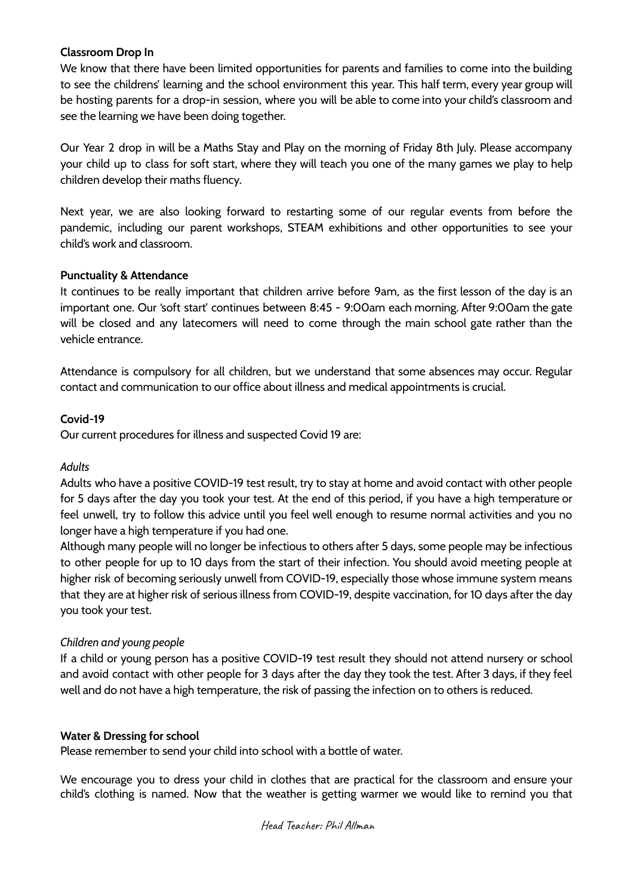## **Classroom Drop In**

We know that there have been limited opportunities for parents and families to come into the building to see the childrens' learning and the school environment this year. This half term, every year group will be hosting parents for a drop-in session, where you will be able to come into your child's classroom and see the learning we have been doing together.

Our Year 2 drop in will be a Maths Stay and Play on the morning of Friday 8th July. Please accompany your child up to class for soft start, where they will teach you one of the many games we play to help children develop their maths fluency.

Next year, we are also looking forward to restarting some of our regular events from before the pandemic, including our parent workshops, STEAM exhibitions and other opportunities to see your child's work and classroom.

### **Punctuality & Attendance**

It continues to be really important that children arrive before 9am, as the first lesson of the day is an important one. Our 'soft start' continues between 8:45 - 9:00am each morning. After 9:00am the gate will be closed and any latecomers will need to come through the main school gate rather than the vehicle entrance.

Attendance is compulsory for all children, but we understand that some absences may occur. Regular contact and communication to our office about illness and medical appointments is crucial.

### **Covid-19**

Our current procedures for illness and suspected Covid 19 are:

# *Adults*

Adults who have a positive COVID-19 test result, try to stay at home and avoid contact with other people for 5 days after the day you took your test. At the end of this period, if you have a high temperature or feel unwell, try to follow this advice until you feel well enough to resume normal activities and you no longer have a high temperature if you had one.

Although many people will no longer be infectious to others after 5 days, some people may be infectious to other people for up to 10 days from the start of their infection. You should avoid meeting people at higher risk of becoming seriously unwell from COVID-19, especially those whose immune system means that they are at higher risk of serious illness from COVID-19, despite vaccination, for 10 days after the day you took your test.

# *Children and young people*

If a child or young person has a positive COVID-19 test result they should not attend nursery or school and avoid contact with other people for 3 days after the day they took the test. After 3 days, if they feel well and do not have a high temperature, the risk of passing the infection on to others is reduced.

#### **Water & Dressing for school**

Please remember to send your child into school with a bottle of water.

We encourage you to dress your child in clothes that are practical for the classroom and ensure your child's clothing is named. Now that the weather is getting warmer we would like to remind you that